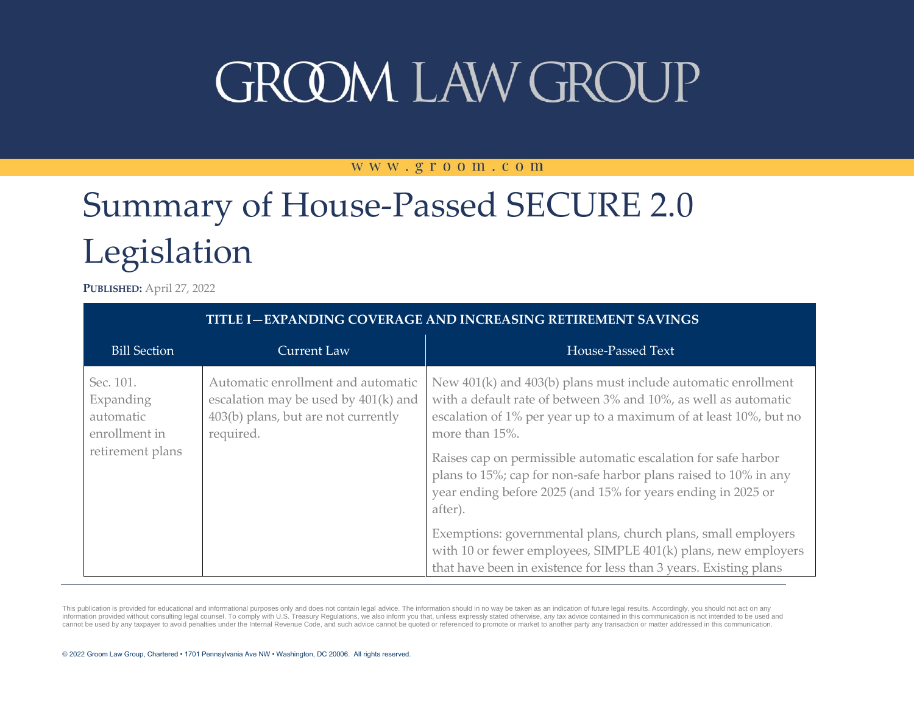#### WWW.groom.com

## Summary of House-Passed SECURE 2.0 Legislation

**PUBLISHED:** April 27, 2022

| <b>TITLE I-EXPANDING COVERAGE AND INCREASING RETIREMENT SAVINGS</b>      |                                                                                                                                |                                                                                                                                                                                                                                                                                                                                                                                                                                          |
|--------------------------------------------------------------------------|--------------------------------------------------------------------------------------------------------------------------------|------------------------------------------------------------------------------------------------------------------------------------------------------------------------------------------------------------------------------------------------------------------------------------------------------------------------------------------------------------------------------------------------------------------------------------------|
| <b>Bill Section</b>                                                      | <b>Current Law</b>                                                                                                             | House-Passed Text                                                                                                                                                                                                                                                                                                                                                                                                                        |
| Sec. 101.<br>Expanding<br>automatic<br>enrollment in<br>retirement plans | Automatic enrollment and automatic<br>escalation may be used by 401(k) and<br>403(b) plans, but are not currently<br>required. | New 401(k) and 403(b) plans must include automatic enrollment<br>with a default rate of between 3% and 10%, as well as automatic<br>escalation of 1% per year up to a maximum of at least 10%, but no<br>more than 15%.<br>Raises cap on permissible automatic escalation for safe harbor<br>plans to 15%; cap for non-safe harbor plans raised to 10% in any<br>year ending before 2025 (and 15% for years ending in 2025 or<br>after). |
|                                                                          |                                                                                                                                | Exemptions: governmental plans, church plans, small employers<br>with 10 or fewer employees, SIMPLE 401(k) plans, new employers<br>that have been in existence for less than 3 years. Existing plans                                                                                                                                                                                                                                     |

This publication is provided for educational and informational purposes only and does not contain legal advice. The information should in no way be taken as an indication of future legal results. Accordingly, you should no information provided without consulting legal counsel. To comply with U.S. Treasury Regulations, we also inform you that, unless expressly stated otherwise, any tax advice contained in this communication is not intended to cannot be used by any taxpayer to avoid penalties under the Internal Revenue Code, and such advice cannot be quoted or referenced to promote or market to another party any transaction or matter addressed in this communicat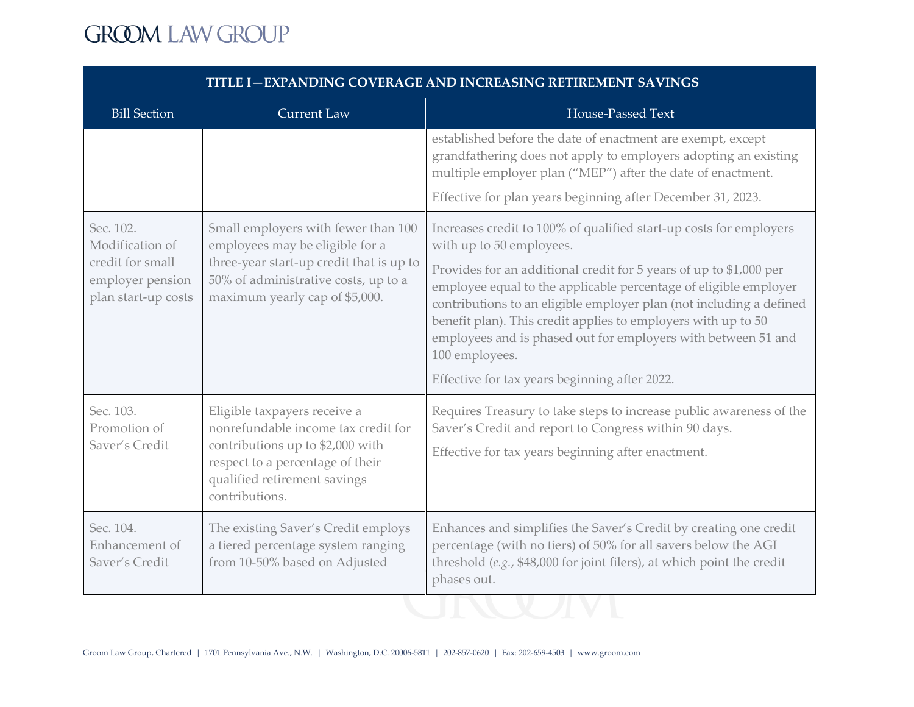| <b>Bill Section</b>                                                                         | <b>Current Law</b>                                                                                                                                                                            | House-Passed Text                                                                                                                                                                                                                                                                                                                                                                                                                                                                                                    |
|---------------------------------------------------------------------------------------------|-----------------------------------------------------------------------------------------------------------------------------------------------------------------------------------------------|----------------------------------------------------------------------------------------------------------------------------------------------------------------------------------------------------------------------------------------------------------------------------------------------------------------------------------------------------------------------------------------------------------------------------------------------------------------------------------------------------------------------|
|                                                                                             |                                                                                                                                                                                               | established before the date of enactment are exempt, except<br>grandfathering does not apply to employers adopting an existing<br>multiple employer plan ("MEP") after the date of enactment.                                                                                                                                                                                                                                                                                                                        |
|                                                                                             |                                                                                                                                                                                               | Effective for plan years beginning after December 31, 2023.                                                                                                                                                                                                                                                                                                                                                                                                                                                          |
| Sec. 102.<br>Modification of<br>credit for small<br>employer pension<br>plan start-up costs | Small employers with fewer than 100<br>employees may be eligible for a<br>three-year start-up credit that is up to<br>50% of administrative costs, up to a<br>maximum yearly cap of \$5,000.  | Increases credit to 100% of qualified start-up costs for employers<br>with up to 50 employees.<br>Provides for an additional credit for 5 years of up to \$1,000 per<br>employee equal to the applicable percentage of eligible employer<br>contributions to an eligible employer plan (not including a defined<br>benefit plan). This credit applies to employers with up to 50<br>employees and is phased out for employers with between 51 and<br>100 employees.<br>Effective for tax years beginning after 2022. |
| Sec. 103.<br>Promotion of<br>Saver's Credit                                                 | Eligible taxpayers receive a<br>nonrefundable income tax credit for<br>contributions up to \$2,000 with<br>respect to a percentage of their<br>qualified retirement savings<br>contributions. | Requires Treasury to take steps to increase public awareness of the<br>Saver's Credit and report to Congress within 90 days.<br>Effective for tax years beginning after enactment.                                                                                                                                                                                                                                                                                                                                   |
| Sec. 104.<br>Enhancement of<br>Saver's Credit                                               | The existing Saver's Credit employs<br>a tiered percentage system ranging<br>from 10-50% based on Adjusted                                                                                    | Enhances and simplifies the Saver's Credit by creating one credit<br>percentage (with no tiers) of 50% for all savers below the AGI<br>threshold (e.g., \$48,000 for joint filers), at which point the credit<br>phases out.                                                                                                                                                                                                                                                                                         |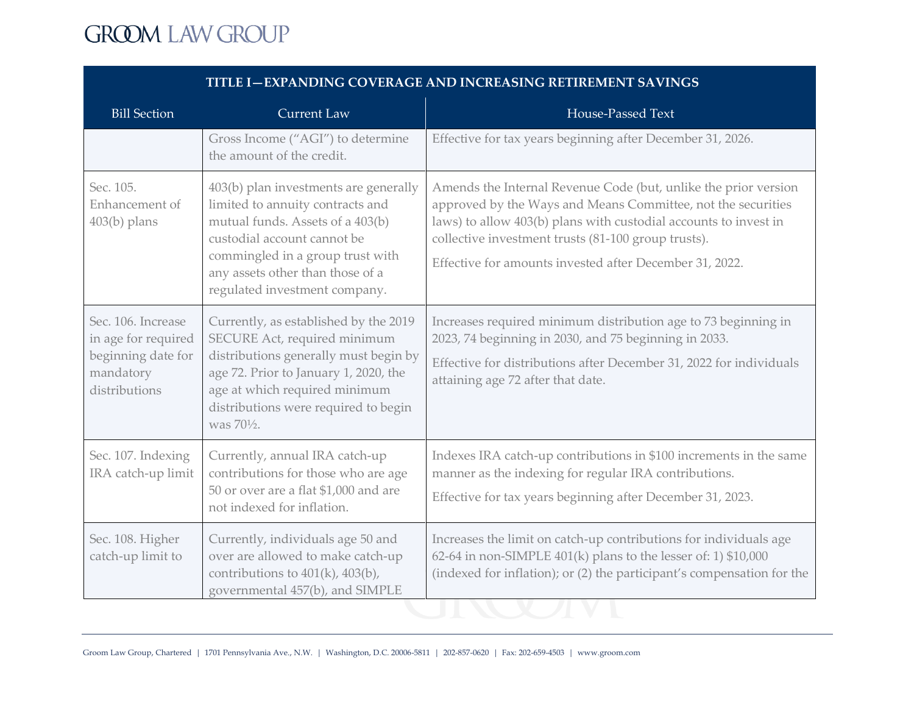| TITLE I-EXPANDING COVERAGE AND INCREASING RETIREMENT SAVINGS                                  |                                                                                                                                                                                                                                                       |                                                                                                                                                                                                                                                                                                                       |
|-----------------------------------------------------------------------------------------------|-------------------------------------------------------------------------------------------------------------------------------------------------------------------------------------------------------------------------------------------------------|-----------------------------------------------------------------------------------------------------------------------------------------------------------------------------------------------------------------------------------------------------------------------------------------------------------------------|
| <b>Bill Section</b>                                                                           | <b>Current Law</b>                                                                                                                                                                                                                                    | House-Passed Text                                                                                                                                                                                                                                                                                                     |
|                                                                                               | Gross Income ("AGI") to determine<br>the amount of the credit.                                                                                                                                                                                        | Effective for tax years beginning after December 31, 2026.                                                                                                                                                                                                                                                            |
| Sec. 105.<br>Enhancement of<br>$403(b)$ plans                                                 | 403(b) plan investments are generally<br>limited to annuity contracts and<br>mutual funds. Assets of a 403(b)<br>custodial account cannot be<br>commingled in a group trust with<br>any assets other than those of a<br>regulated investment company. | Amends the Internal Revenue Code (but, unlike the prior version<br>approved by the Ways and Means Committee, not the securities<br>laws) to allow 403(b) plans with custodial accounts to invest in<br>collective investment trusts (81-100 group trusts).<br>Effective for amounts invested after December 31, 2022. |
| Sec. 106. Increase<br>in age for required<br>beginning date for<br>mandatory<br>distributions | Currently, as established by the 2019<br>SECURE Act, required minimum<br>distributions generally must begin by<br>age 72. Prior to January 1, 2020, the<br>age at which required minimum<br>distributions were required to begin<br>was 701/2.        | Increases required minimum distribution age to 73 beginning in<br>2023, 74 beginning in 2030, and 75 beginning in 2033.<br>Effective for distributions after December 31, 2022 for individuals<br>attaining age 72 after that date.                                                                                   |
| Sec. 107. Indexing<br>IRA catch-up limit                                                      | Currently, annual IRA catch-up<br>contributions for those who are age<br>50 or over are a flat \$1,000 and are<br>not indexed for inflation.                                                                                                          | Indexes IRA catch-up contributions in \$100 increments in the same<br>manner as the indexing for regular IRA contributions.<br>Effective for tax years beginning after December 31, 2023.                                                                                                                             |
| Sec. 108. Higher<br>catch-up limit to                                                         | Currently, individuals age 50 and<br>over are allowed to make catch-up<br>contributions to 401(k), 403(b),<br>governmental 457(b), and SIMPLE                                                                                                         | Increases the limit on catch-up contributions for individuals age<br>62-64 in non-SIMPLE 401(k) plans to the lesser of: 1) \$10,000<br>(indexed for inflation); or (2) the participant's compensation for the                                                                                                         |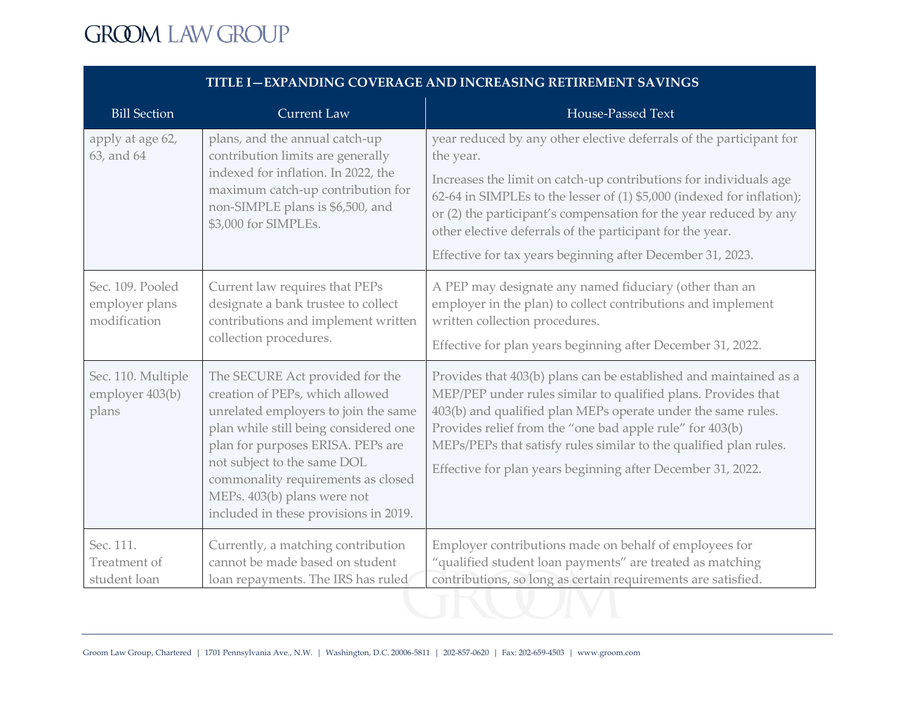| <b>Bill Section</b>                                | <b>Current Law</b>                                                                                                                                                                                                                                                                                                                    | House-Passed Text                                                                                                                                                                                                                                                                                                                                                                                                               |
|----------------------------------------------------|---------------------------------------------------------------------------------------------------------------------------------------------------------------------------------------------------------------------------------------------------------------------------------------------------------------------------------------|---------------------------------------------------------------------------------------------------------------------------------------------------------------------------------------------------------------------------------------------------------------------------------------------------------------------------------------------------------------------------------------------------------------------------------|
| apply at age 62,<br>63, and 64                     | plans, and the annual catch-up<br>contribution limits are generally<br>indexed for inflation. In 2022, the<br>maximum catch-up contribution for<br>non-SIMPLE plans is \$6,500, and<br>\$3,000 for SIMPLEs.                                                                                                                           | year reduced by any other elective deferrals of the participant for<br>the year.<br>Increases the limit on catch-up contributions for individuals age<br>62-64 in SIMPLEs to the lesser of (1) \$5,000 (indexed for inflation);<br>or (2) the participant's compensation for the year reduced by any<br>other elective deferrals of the participant for the year.<br>Effective for tax years beginning after December 31, 2023. |
| Sec. 109. Pooled<br>employer plans<br>modification | Current law requires that PEPs<br>designate a bank trustee to collect<br>contributions and implement written<br>collection procedures.                                                                                                                                                                                                | A PEP may designate any named fiduciary (other than an<br>employer in the plan) to collect contributions and implement<br>written collection procedures.<br>Effective for plan years beginning after December 31, 2022.                                                                                                                                                                                                         |
| Sec. 110. Multiple<br>employer 403(b)<br>plans     | The SECURE Act provided for the<br>creation of PEPs, which allowed<br>unrelated employers to join the same<br>plan while still being considered one<br>plan for purposes ERISA. PEPs are<br>not subject to the same DOL<br>commonality requirements as closed<br>MEPs. 403(b) plans were not<br>included in these provisions in 2019. | Provides that 403(b) plans can be established and maintained as a<br>MEP/PEP under rules similar to qualified plans. Provides that<br>403(b) and qualified plan MEPs operate under the same rules.<br>Provides relief from the "one bad apple rule" for 403(b)<br>MEPs/PEPs that satisfy rules similar to the qualified plan rules.<br>Effective for plan years beginning after December 31, 2022.                              |
| Sec. 111.<br>Treatment of<br>student loan          | Currently, a matching contribution<br>cannot be made based on student<br>loan repayments. The IRS has ruled                                                                                                                                                                                                                           | Employer contributions made on behalf of employees for<br>"qualified student loan payments" are treated as matching<br>contributions, so long as certain requirements are satisfied.                                                                                                                                                                                                                                            |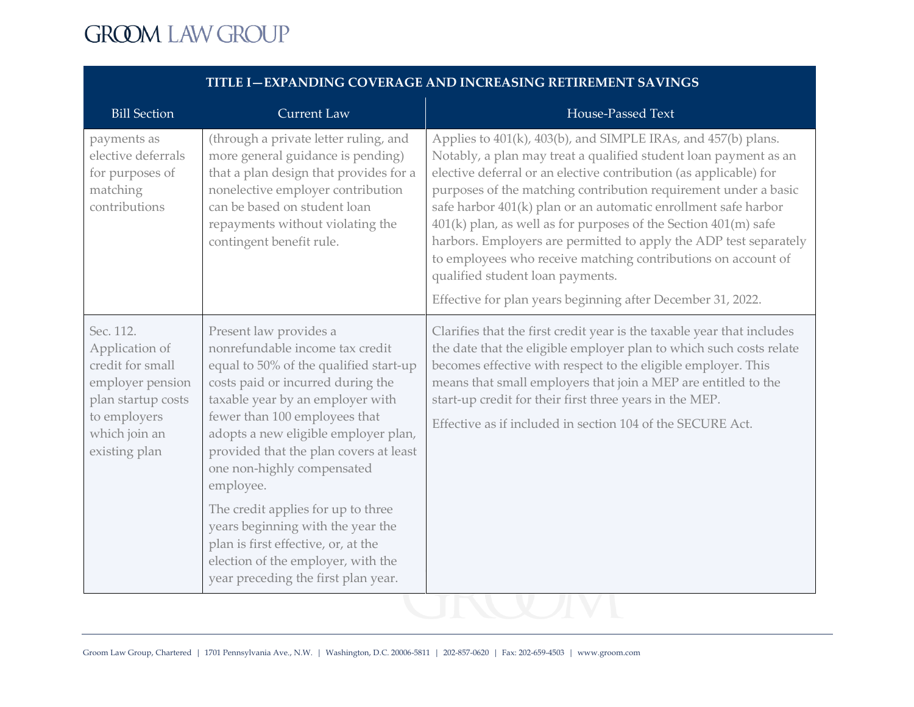| <b>Bill Section</b>                                                                                                                         | <b>Current Law</b>                                                                                                                                                                                                                                                                                                                                                               | House-Passed Text                                                                                                                                                                                                                                                                                                                                                                                                                                                                                                                                                                                                                                       |
|---------------------------------------------------------------------------------------------------------------------------------------------|----------------------------------------------------------------------------------------------------------------------------------------------------------------------------------------------------------------------------------------------------------------------------------------------------------------------------------------------------------------------------------|---------------------------------------------------------------------------------------------------------------------------------------------------------------------------------------------------------------------------------------------------------------------------------------------------------------------------------------------------------------------------------------------------------------------------------------------------------------------------------------------------------------------------------------------------------------------------------------------------------------------------------------------------------|
| payments as<br>elective deferrals<br>for purposes of<br>matching<br>contributions                                                           | (through a private letter ruling, and<br>more general guidance is pending)<br>that a plan design that provides for a<br>nonelective employer contribution<br>can be based on student loan<br>repayments without violating the<br>contingent benefit rule.                                                                                                                        | Applies to 401(k), 403(b), and SIMPLE IRAs, and 457(b) plans.<br>Notably, a plan may treat a qualified student loan payment as an<br>elective deferral or an elective contribution (as applicable) for<br>purposes of the matching contribution requirement under a basic<br>safe harbor 401(k) plan or an automatic enrollment safe harbor<br>401(k) plan, as well as for purposes of the Section 401(m) safe<br>harbors. Employers are permitted to apply the ADP test separately<br>to employees who receive matching contributions on account of<br>qualified student loan payments.<br>Effective for plan years beginning after December 31, 2022. |
| Sec. 112.<br>Application of<br>credit for small<br>employer pension<br>plan startup costs<br>to employers<br>which join an<br>existing plan | Present law provides a<br>nonrefundable income tax credit<br>equal to 50% of the qualified start-up<br>costs paid or incurred during the<br>taxable year by an employer with<br>fewer than 100 employees that<br>adopts a new eligible employer plan,<br>provided that the plan covers at least<br>one non-highly compensated<br>employee.<br>The credit applies for up to three | Clarifies that the first credit year is the taxable year that includes<br>the date that the eligible employer plan to which such costs relate<br>becomes effective with respect to the eligible employer. This<br>means that small employers that join a MEP are entitled to the<br>start-up credit for their first three years in the MEP.<br>Effective as if included in section 104 of the SECURE Act.                                                                                                                                                                                                                                               |
|                                                                                                                                             | years beginning with the year the<br>plan is first effective, or, at the<br>election of the employer, with the<br>year preceding the first plan year.                                                                                                                                                                                                                            |                                                                                                                                                                                                                                                                                                                                                                                                                                                                                                                                                                                                                                                         |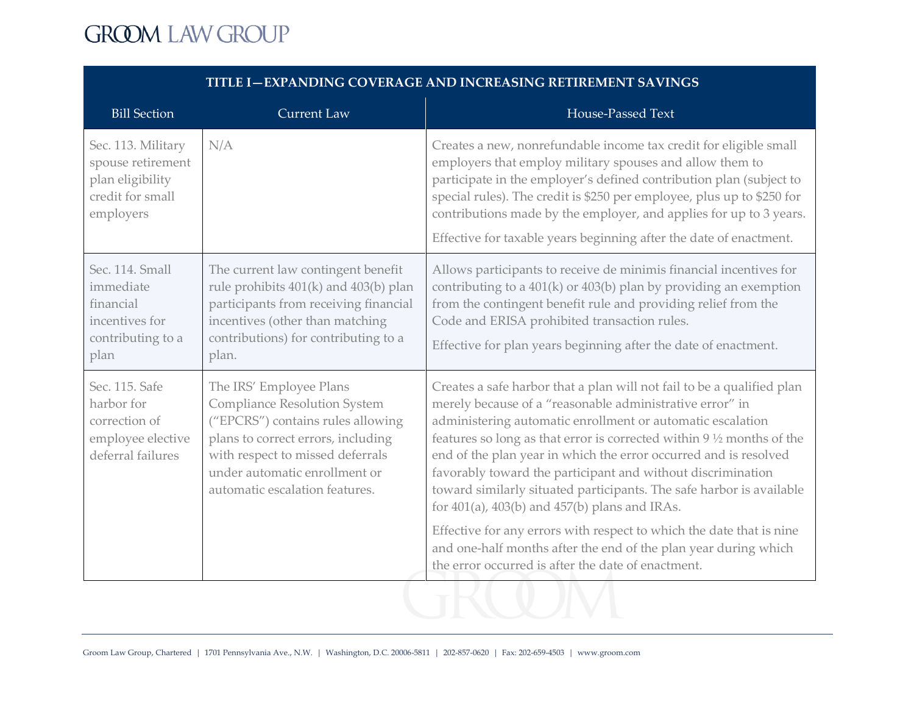| <b>Bill Section</b>                                                                          | <b>Current Law</b>                                                                                                                                                                                                                        | House-Passed Text                                                                                                                                                                                                                                                                                                                                                                                                                                                                                                                                                                                                                                                                                                                              |
|----------------------------------------------------------------------------------------------|-------------------------------------------------------------------------------------------------------------------------------------------------------------------------------------------------------------------------------------------|------------------------------------------------------------------------------------------------------------------------------------------------------------------------------------------------------------------------------------------------------------------------------------------------------------------------------------------------------------------------------------------------------------------------------------------------------------------------------------------------------------------------------------------------------------------------------------------------------------------------------------------------------------------------------------------------------------------------------------------------|
| Sec. 113. Military<br>spouse retirement<br>plan eligibility<br>credit for small<br>employers | N/A                                                                                                                                                                                                                                       | Creates a new, nonrefundable income tax credit for eligible small<br>employers that employ military spouses and allow them to<br>participate in the employer's defined contribution plan (subject to<br>special rules). The credit is \$250 per employee, plus up to \$250 for<br>contributions made by the employer, and applies for up to 3 years.<br>Effective for taxable years beginning after the date of enactment.                                                                                                                                                                                                                                                                                                                     |
| Sec. 114. Small<br>immediate<br>financial<br>incentives for<br>contributing to a<br>plan     | The current law contingent benefit<br>rule prohibits 401(k) and 403(b) plan<br>participants from receiving financial<br>incentives (other than matching<br>contributions) for contributing to a<br>plan.                                  | Allows participants to receive de minimis financial incentives for<br>contributing to a $401(k)$ or $403(b)$ plan by providing an exemption<br>from the contingent benefit rule and providing relief from the<br>Code and ERISA prohibited transaction rules.<br>Effective for plan years beginning after the date of enactment.                                                                                                                                                                                                                                                                                                                                                                                                               |
| Sec. 115. Safe<br>harbor for<br>correction of<br>employee elective<br>deferral failures      | The IRS' Employee Plans<br>Compliance Resolution System<br>("EPCRS") contains rules allowing<br>plans to correct errors, including<br>with respect to missed deferrals<br>under automatic enrollment or<br>automatic escalation features. | Creates a safe harbor that a plan will not fail to be a qualified plan<br>merely because of a "reasonable administrative error" in<br>administering automatic enrollment or automatic escalation<br>features so long as that error is corrected within 9 1/2 months of the<br>end of the plan year in which the error occurred and is resolved<br>favorably toward the participant and without discrimination<br>toward similarly situated participants. The safe harbor is available<br>for $401(a)$ , $403(b)$ and $457(b)$ plans and IRAs.<br>Effective for any errors with respect to which the date that is nine<br>and one-half months after the end of the plan year during which<br>the error occurred is after the date of enactment. |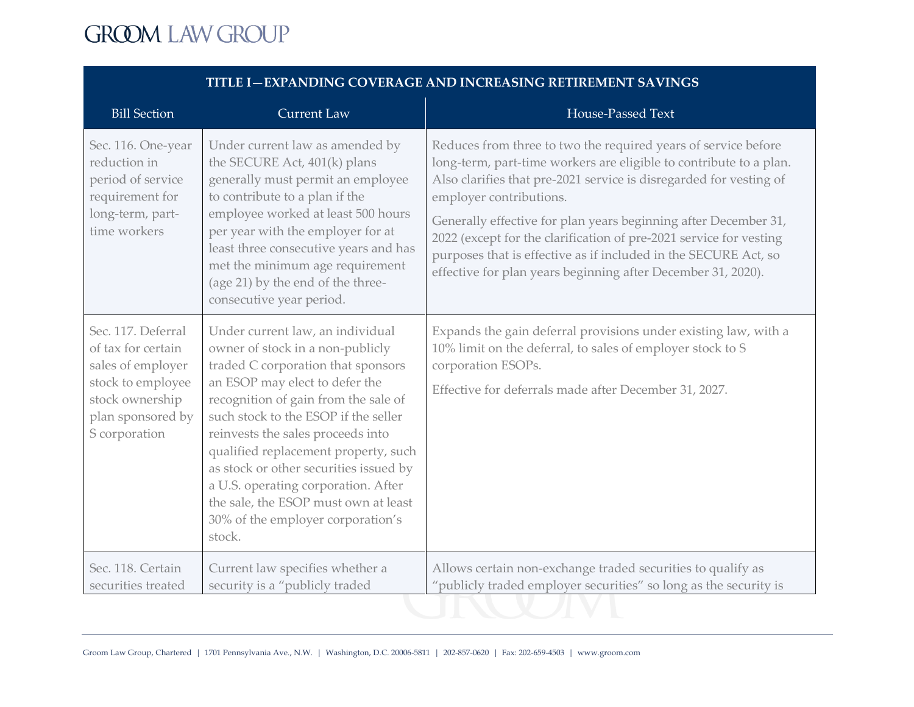| <b>Bill Section</b>                                                                                                                         | <b>Current Law</b>                                                                                                                                                                                                                                                                                                                                                                                                                                                                | House-Passed Text                                                                                                                                                                                                                                                                                                                                                                                                                                                                                                 |
|---------------------------------------------------------------------------------------------------------------------------------------------|-----------------------------------------------------------------------------------------------------------------------------------------------------------------------------------------------------------------------------------------------------------------------------------------------------------------------------------------------------------------------------------------------------------------------------------------------------------------------------------|-------------------------------------------------------------------------------------------------------------------------------------------------------------------------------------------------------------------------------------------------------------------------------------------------------------------------------------------------------------------------------------------------------------------------------------------------------------------------------------------------------------------|
| Sec. 116. One-year<br>reduction in<br>period of service<br>requirement for<br>long-term, part-<br>time workers                              | Under current law as amended by<br>the SECURE Act, 401(k) plans<br>generally must permit an employee<br>to contribute to a plan if the<br>employee worked at least 500 hours<br>per year with the employer for at<br>least three consecutive years and has<br>met the minimum age requirement<br>(age 21) by the end of the three-<br>consecutive year period.                                                                                                                    | Reduces from three to two the required years of service before<br>long-term, part-time workers are eligible to contribute to a plan.<br>Also clarifies that pre-2021 service is disregarded for vesting of<br>employer contributions.<br>Generally effective for plan years beginning after December 31,<br>2022 (except for the clarification of pre-2021 service for vesting<br>purposes that is effective as if included in the SECURE Act, so<br>effective for plan years beginning after December 31, 2020). |
| Sec. 117. Deferral<br>of tax for certain<br>sales of employer<br>stock to employee<br>stock ownership<br>plan sponsored by<br>S corporation | Under current law, an individual<br>owner of stock in a non-publicly<br>traded C corporation that sponsors<br>an ESOP may elect to defer the<br>recognition of gain from the sale of<br>such stock to the ESOP if the seller<br>reinvests the sales proceeds into<br>qualified replacement property, such<br>as stock or other securities issued by<br>a U.S. operating corporation. After<br>the sale, the ESOP must own at least<br>30% of the employer corporation's<br>stock. | Expands the gain deferral provisions under existing law, with a<br>10% limit on the deferral, to sales of employer stock to S<br>corporation ESOPs.<br>Effective for deferrals made after December 31, 2027.                                                                                                                                                                                                                                                                                                      |
| Sec. 118. Certain<br>securities treated                                                                                                     | Current law specifies whether a<br>security is a "publicly traded                                                                                                                                                                                                                                                                                                                                                                                                                 | Allows certain non-exchange traded securities to qualify as<br>"publicly traded employer securities" so long as the security is                                                                                                                                                                                                                                                                                                                                                                                   |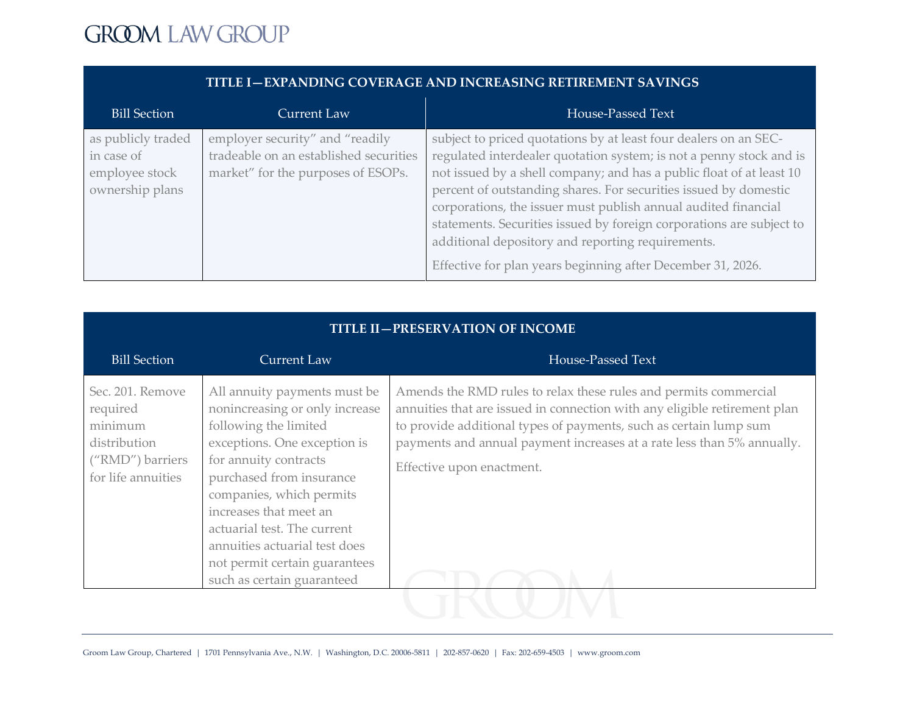| <b>Bill Section</b>                                                   | Current Law                                                                                                     | House-Passed Text                                                                                                                                                                                                                                                                                                                                                                                                                                                                                                                                 |
|-----------------------------------------------------------------------|-----------------------------------------------------------------------------------------------------------------|---------------------------------------------------------------------------------------------------------------------------------------------------------------------------------------------------------------------------------------------------------------------------------------------------------------------------------------------------------------------------------------------------------------------------------------------------------------------------------------------------------------------------------------------------|
| as publicly traded<br>in case of<br>employee stock<br>ownership plans | employer security" and "readily<br>tradeable on an established securities<br>market" for the purposes of ESOPs. | subject to priced quotations by at least four dealers on an SEC-<br>regulated interdealer quotation system; is not a penny stock and is<br>not issued by a shell company; and has a public float of at least 10<br>percent of outstanding shares. For securities issued by domestic<br>corporations, the issuer must publish annual audited financial<br>statements. Securities issued by foreign corporations are subject to<br>additional depository and reporting requirements.<br>Effective for plan years beginning after December 31, 2026. |

| <b>TITLE II-PRESERVATION OF INCOME</b>                                                            |                                                                                                                                                                                                                                                                                                                                                                   |                                                                                                                                                                                                                                                                                                                           |
|---------------------------------------------------------------------------------------------------|-------------------------------------------------------------------------------------------------------------------------------------------------------------------------------------------------------------------------------------------------------------------------------------------------------------------------------------------------------------------|---------------------------------------------------------------------------------------------------------------------------------------------------------------------------------------------------------------------------------------------------------------------------------------------------------------------------|
| <b>Bill Section</b>                                                                               | <b>Current Law</b>                                                                                                                                                                                                                                                                                                                                                | House-Passed Text                                                                                                                                                                                                                                                                                                         |
| Sec. 201. Remove<br>required<br>minimum<br>distribution<br>("RMD") barriers<br>for life annuities | All annuity payments must be<br>nonincreasing or only increase<br>following the limited<br>exceptions. One exception is<br>for annuity contracts<br>purchased from insurance<br>companies, which permits<br>increases that meet an<br>actuarial test. The current<br>annuities actuarial test does<br>not permit certain guarantees<br>such as certain guaranteed | Amends the RMD rules to relax these rules and permits commercial<br>annuities that are issued in connection with any eligible retirement plan<br>to provide additional types of payments, such as certain lump sum<br>payments and annual payment increases at a rate less than 5% annually.<br>Effective upon enactment. |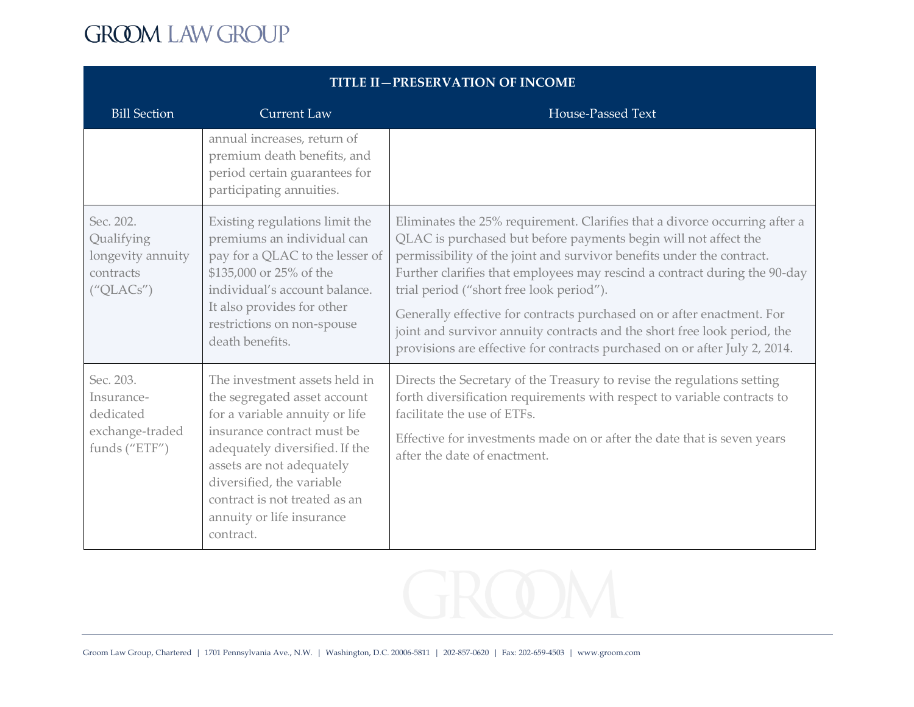| <b>TITLE II—PRESERVATION OF INCOME</b>                                   |                                                                                                                                                                                                                                                                                                      |                                                                                                                                                                                                                                                                                                                                                                                                                                                                                                                                                                                     |
|--------------------------------------------------------------------------|------------------------------------------------------------------------------------------------------------------------------------------------------------------------------------------------------------------------------------------------------------------------------------------------------|-------------------------------------------------------------------------------------------------------------------------------------------------------------------------------------------------------------------------------------------------------------------------------------------------------------------------------------------------------------------------------------------------------------------------------------------------------------------------------------------------------------------------------------------------------------------------------------|
| <b>Bill Section</b>                                                      | <b>Current Law</b>                                                                                                                                                                                                                                                                                   | House-Passed Text                                                                                                                                                                                                                                                                                                                                                                                                                                                                                                                                                                   |
|                                                                          | annual increases, return of<br>premium death benefits, and<br>period certain guarantees for<br>participating annuities.                                                                                                                                                                              |                                                                                                                                                                                                                                                                                                                                                                                                                                                                                                                                                                                     |
| Sec. 202.<br>Qualifying<br>longevity annuity<br>contracts<br>(''QLACS'') | Existing regulations limit the<br>premiums an individual can<br>pay for a QLAC to the lesser of<br>\$135,000 or 25% of the<br>individual's account balance.<br>It also provides for other<br>restrictions on non-spouse<br>death benefits.                                                           | Eliminates the 25% requirement. Clarifies that a divorce occurring after a<br>QLAC is purchased but before payments begin will not affect the<br>permissibility of the joint and survivor benefits under the contract.<br>Further clarifies that employees may rescind a contract during the 90-day<br>trial period ("short free look period").<br>Generally effective for contracts purchased on or after enactment. For<br>joint and survivor annuity contracts and the short free look period, the<br>provisions are effective for contracts purchased on or after July 2, 2014. |
| Sec. 203.<br>Insurance-<br>dedicated<br>exchange-traded<br>funds ("ETF") | The investment assets held in<br>the segregated asset account<br>for a variable annuity or life<br>insurance contract must be<br>adequately diversified. If the<br>assets are not adequately<br>diversified, the variable<br>contract is not treated as an<br>annuity or life insurance<br>contract. | Directs the Secretary of the Treasury to revise the regulations setting<br>forth diversification requirements with respect to variable contracts to<br>facilitate the use of ETFs.<br>Effective for investments made on or after the date that is seven years<br>after the date of enactment.                                                                                                                                                                                                                                                                                       |

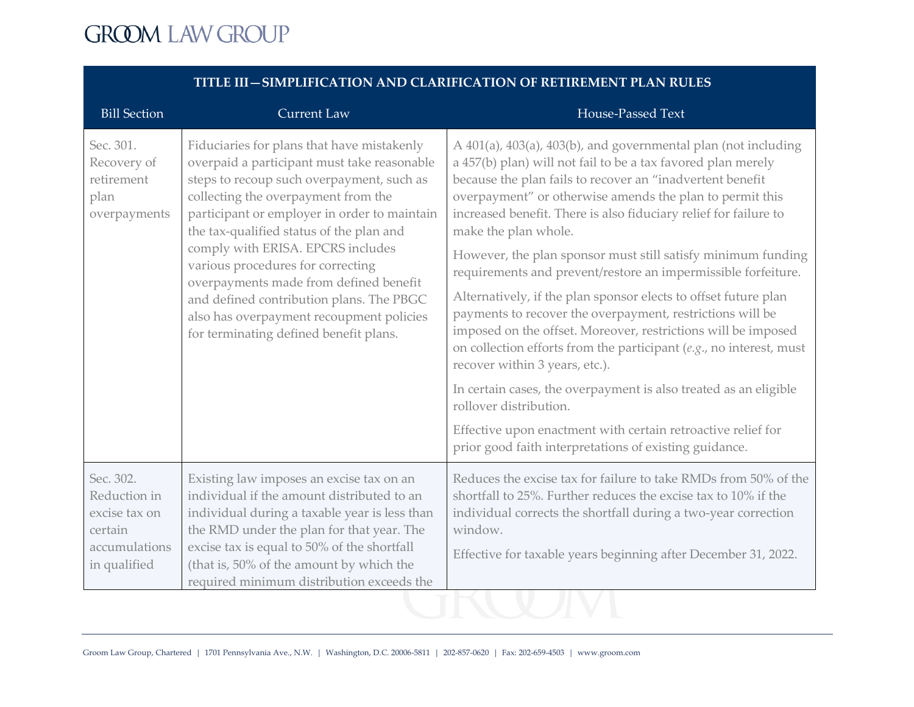| <b>Bill Section</b>                                                                    | <b>Current Law</b>                                                                                                                                                                                                                                                                                                                                                                                                                                                                                                              | <b>House-Passed Text</b>                                                                                                                                                                                                                                                                                                                                                                                                                                                                                                                                                                                                                                                                                                                                                                                                                                                                                                                                                                                                  |
|----------------------------------------------------------------------------------------|---------------------------------------------------------------------------------------------------------------------------------------------------------------------------------------------------------------------------------------------------------------------------------------------------------------------------------------------------------------------------------------------------------------------------------------------------------------------------------------------------------------------------------|---------------------------------------------------------------------------------------------------------------------------------------------------------------------------------------------------------------------------------------------------------------------------------------------------------------------------------------------------------------------------------------------------------------------------------------------------------------------------------------------------------------------------------------------------------------------------------------------------------------------------------------------------------------------------------------------------------------------------------------------------------------------------------------------------------------------------------------------------------------------------------------------------------------------------------------------------------------------------------------------------------------------------|
| Sec. 301.<br>Recovery of<br>retirement<br>plan<br>overpayments                         | Fiduciaries for plans that have mistakenly<br>overpaid a participant must take reasonable<br>steps to recoup such overpayment, such as<br>collecting the overpayment from the<br>participant or employer in order to maintain<br>the tax-qualified status of the plan and<br>comply with ERISA. EPCRS includes<br>various procedures for correcting<br>overpayments made from defined benefit<br>and defined contribution plans. The PBGC<br>also has overpayment recoupment policies<br>for terminating defined benefit plans. | A 401(a), 403(a), 403(b), and governmental plan (not including<br>a 457(b) plan) will not fail to be a tax favored plan merely<br>because the plan fails to recover an "inadvertent benefit<br>overpayment" or otherwise amends the plan to permit this<br>increased benefit. There is also fiduciary relief for failure to<br>make the plan whole.<br>However, the plan sponsor must still satisfy minimum funding<br>requirements and prevent/restore an impermissible forfeiture.<br>Alternatively, if the plan sponsor elects to offset future plan<br>payments to recover the overpayment, restrictions will be<br>imposed on the offset. Moreover, restrictions will be imposed<br>on collection efforts from the participant $(e.g., no interest, must)$<br>recover within 3 years, etc.).<br>In certain cases, the overpayment is also treated as an eligible<br>rollover distribution.<br>Effective upon enactment with certain retroactive relief for<br>prior good faith interpretations of existing guidance. |
| Sec. 302.<br>Reduction in<br>excise tax on<br>certain<br>accumulations<br>in qualified | Existing law imposes an excise tax on an<br>individual if the amount distributed to an<br>individual during a taxable year is less than<br>the RMD under the plan for that year. The<br>excise tax is equal to 50% of the shortfall<br>(that is, 50% of the amount by which the<br>required minimum distribution exceeds the                                                                                                                                                                                                    | Reduces the excise tax for failure to take RMDs from 50% of the<br>shortfall to 25%. Further reduces the excise tax to 10% if the<br>individual corrects the shortfall during a two-year correction<br>window.<br>Effective for taxable years beginning after December 31, 2022.                                                                                                                                                                                                                                                                                                                                                                                                                                                                                                                                                                                                                                                                                                                                          |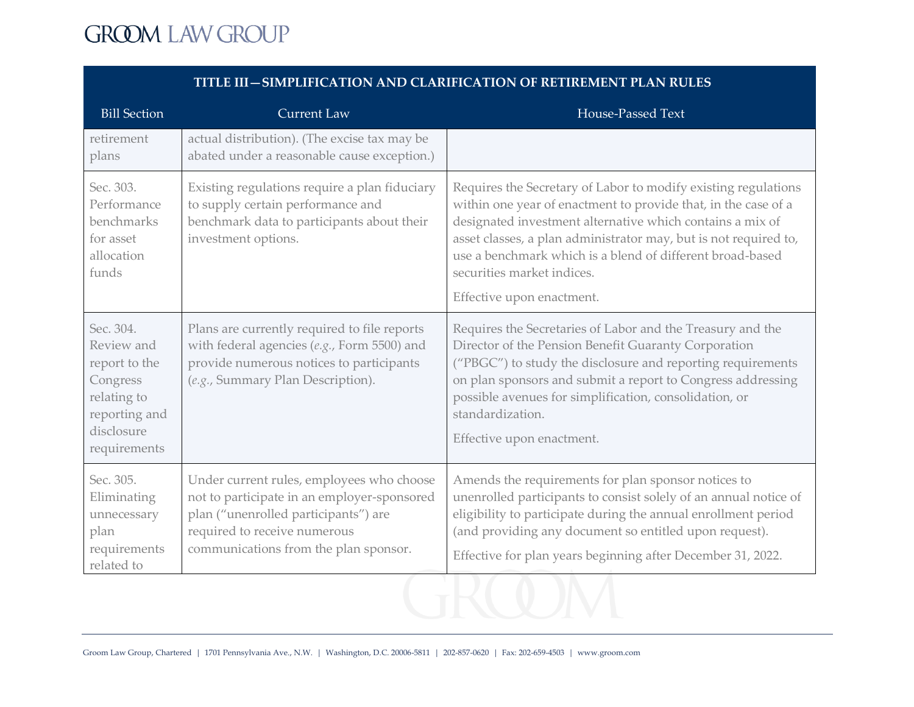| <b>Bill Section</b>                                                                                                | <b>Current Law</b>                                                                                                                                                                                        | House-Passed Text                                                                                                                                                                                                                                                                                                                                                                         |
|--------------------------------------------------------------------------------------------------------------------|-----------------------------------------------------------------------------------------------------------------------------------------------------------------------------------------------------------|-------------------------------------------------------------------------------------------------------------------------------------------------------------------------------------------------------------------------------------------------------------------------------------------------------------------------------------------------------------------------------------------|
| retirement<br>plans                                                                                                | actual distribution). (The excise tax may be<br>abated under a reasonable cause exception.)                                                                                                               |                                                                                                                                                                                                                                                                                                                                                                                           |
| Sec. 303.<br>Performance<br>benchmarks<br>for asset<br>allocation<br>funds                                         | Existing regulations require a plan fiduciary<br>to supply certain performance and<br>benchmark data to participants about their<br>investment options.                                                   | Requires the Secretary of Labor to modify existing regulations<br>within one year of enactment to provide that, in the case of a<br>designated investment alternative which contains a mix of<br>asset classes, a plan administrator may, but is not required to,<br>use a benchmark which is a blend of different broad-based<br>securities market indices.<br>Effective upon enactment. |
| Sec. 304.<br>Review and<br>report to the<br>Congress<br>relating to<br>reporting and<br>disclosure<br>requirements | Plans are currently required to file reports<br>with federal agencies (e.g., Form 5500) and<br>provide numerous notices to participants<br>(e.g., Summary Plan Description).                              | Requires the Secretaries of Labor and the Treasury and the<br>Director of the Pension Benefit Guaranty Corporation<br>("PBGC") to study the disclosure and reporting requirements<br>on plan sponsors and submit a report to Congress addressing<br>possible avenues for simplification, consolidation, or<br>standardization.<br>Effective upon enactment.                               |
| Sec. 305.<br>Eliminating<br>unnecessary<br>plan<br>requirements<br>related to                                      | Under current rules, employees who choose<br>not to participate in an employer-sponsored<br>plan ("unenrolled participants") are<br>required to receive numerous<br>communications from the plan sponsor. | Amends the requirements for plan sponsor notices to<br>unenrolled participants to consist solely of an annual notice of<br>eligibility to participate during the annual enrollment period<br>(and providing any document so entitled upon request).<br>Effective for plan years beginning after December 31, 2022.                                                                        |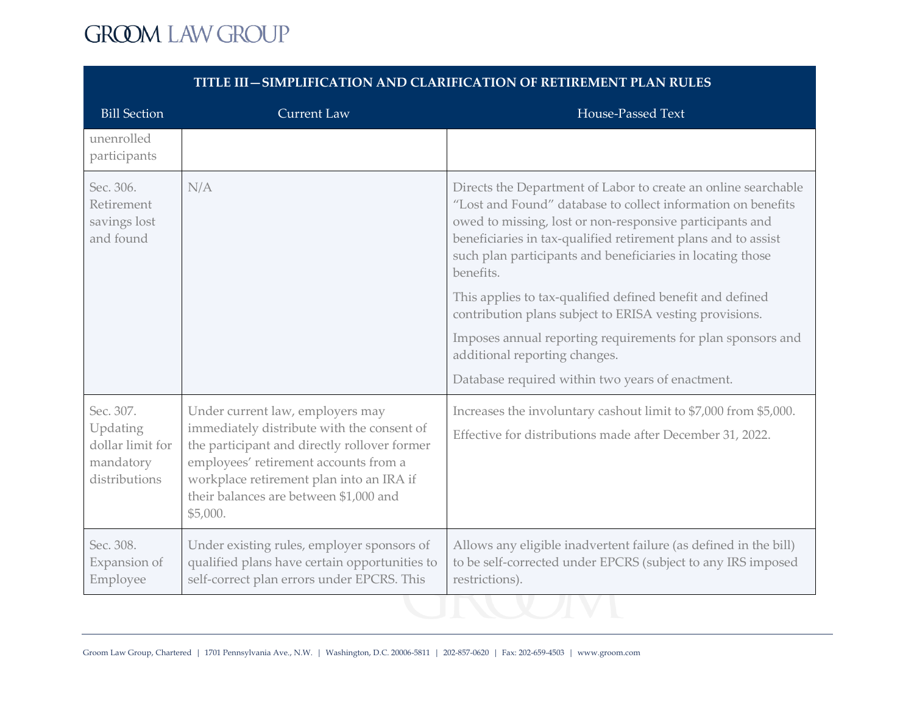| <b>Bill Section</b>                                                     | <b>Current Law</b>                                                                                                                                                                                                                                                        | House-Passed Text                                                                                                                                                                                                                                                                                                                                                                                                                                                                                                                                                                                                  |
|-------------------------------------------------------------------------|---------------------------------------------------------------------------------------------------------------------------------------------------------------------------------------------------------------------------------------------------------------------------|--------------------------------------------------------------------------------------------------------------------------------------------------------------------------------------------------------------------------------------------------------------------------------------------------------------------------------------------------------------------------------------------------------------------------------------------------------------------------------------------------------------------------------------------------------------------------------------------------------------------|
| unenrolled<br>participants                                              |                                                                                                                                                                                                                                                                           |                                                                                                                                                                                                                                                                                                                                                                                                                                                                                                                                                                                                                    |
| Sec. 306.<br>Retirement<br>savings lost<br>and found                    | N/A                                                                                                                                                                                                                                                                       | Directs the Department of Labor to create an online searchable<br>"Lost and Found" database to collect information on benefits<br>owed to missing, lost or non-responsive participants and<br>beneficiaries in tax-qualified retirement plans and to assist<br>such plan participants and beneficiaries in locating those<br>benefits.<br>This applies to tax-qualified defined benefit and defined<br>contribution plans subject to ERISA vesting provisions.<br>Imposes annual reporting requirements for plan sponsors and<br>additional reporting changes.<br>Database required within two years of enactment. |
| Sec. 307.<br>Updating<br>dollar limit for<br>mandatory<br>distributions | Under current law, employers may<br>immediately distribute with the consent of<br>the participant and directly rollover former<br>employees' retirement accounts from a<br>workplace retirement plan into an IRA if<br>their balances are between \$1,000 and<br>\$5,000. | Increases the involuntary cashout limit to \$7,000 from \$5,000.<br>Effective for distributions made after December 31, 2022.                                                                                                                                                                                                                                                                                                                                                                                                                                                                                      |
| Sec. 308.<br>Expansion of<br>Employee                                   | Under existing rules, employer sponsors of<br>qualified plans have certain opportunities to<br>self-correct plan errors under EPCRS. This                                                                                                                                 | Allows any eligible inadvertent failure (as defined in the bill)<br>to be self-corrected under EPCRS (subject to any IRS imposed<br>restrictions).                                                                                                                                                                                                                                                                                                                                                                                                                                                                 |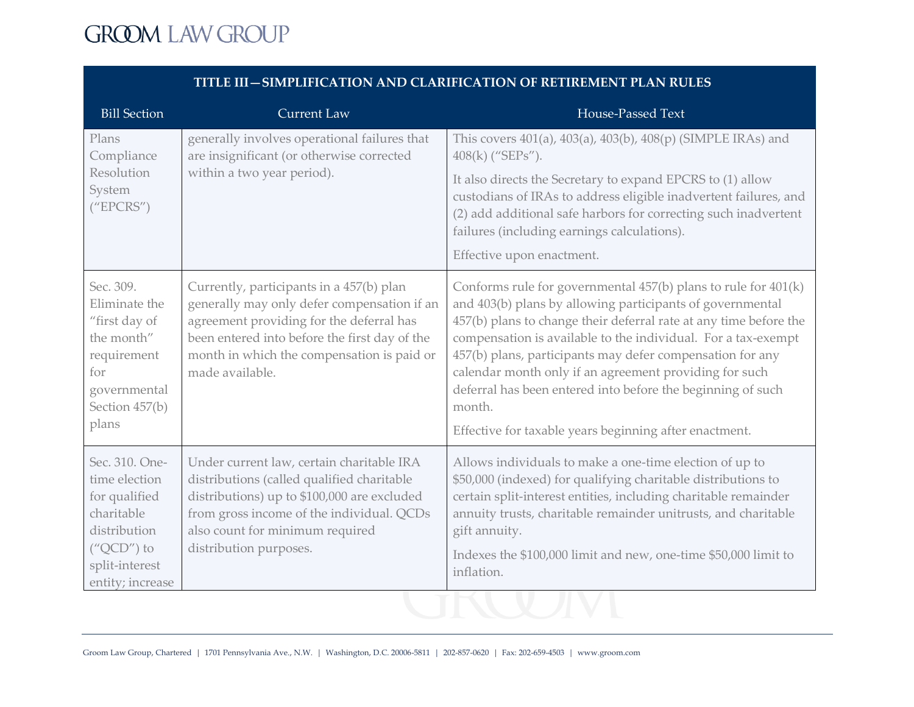| <b>Bill Section</b>                                                                                                                  | <b>Current Law</b>                                                                                                                                                                                                                                    | House-Passed Text                                                                                                                                                                                                                                                                                                                                                                                                                                                                                                           |
|--------------------------------------------------------------------------------------------------------------------------------------|-------------------------------------------------------------------------------------------------------------------------------------------------------------------------------------------------------------------------------------------------------|-----------------------------------------------------------------------------------------------------------------------------------------------------------------------------------------------------------------------------------------------------------------------------------------------------------------------------------------------------------------------------------------------------------------------------------------------------------------------------------------------------------------------------|
| Plans<br>Compliance                                                                                                                  | generally involves operational failures that<br>are insignificant (or otherwise corrected                                                                                                                                                             | This covers 401(a), 403(a), 403(b), 408(p) (SIMPLE IRAs) and<br>$408(k)$ ("SEPs").                                                                                                                                                                                                                                                                                                                                                                                                                                          |
| Resolution<br>System<br>("EPCRS")                                                                                                    | within a two year period).                                                                                                                                                                                                                            | It also directs the Secretary to expand EPCRS to (1) allow<br>custodians of IRAs to address eligible inadvertent failures, and<br>(2) add additional safe harbors for correcting such inadvertent<br>failures (including earnings calculations).<br>Effective upon enactment.                                                                                                                                                                                                                                               |
| Sec. 309.<br>Eliminate the<br>"first day of<br>the month"<br>requirement<br>for<br>governmental<br>Section 457(b)<br>plans           | Currently, participants in a 457(b) plan<br>generally may only defer compensation if an<br>agreement providing for the deferral has<br>been entered into before the first day of the<br>month in which the compensation is paid or<br>made available. | Conforms rule for governmental 457(b) plans to rule for 401(k)<br>and 403(b) plans by allowing participants of governmental<br>457(b) plans to change their deferral rate at any time before the<br>compensation is available to the individual. For a tax-exempt<br>457(b) plans, participants may defer compensation for any<br>calendar month only if an agreement providing for such<br>deferral has been entered into before the beginning of such<br>month.<br>Effective for taxable years beginning after enactment. |
| Sec. 310. One-<br>time election<br>for qualified<br>charitable<br>distribution<br>$("QCD")$ to<br>split-interest<br>entity; increase | Under current law, certain charitable IRA<br>distributions (called qualified charitable<br>distributions) up to \$100,000 are excluded<br>from gross income of the individual. QCDs<br>also count for minimum required<br>distribution purposes.      | Allows individuals to make a one-time election of up to<br>\$50,000 (indexed) for qualifying charitable distributions to<br>certain split-interest entities, including charitable remainder<br>annuity trusts, charitable remainder unitrusts, and charitable<br>gift annuity.<br>Indexes the \$100,000 limit and new, one-time \$50,000 limit to<br>inflation.                                                                                                                                                             |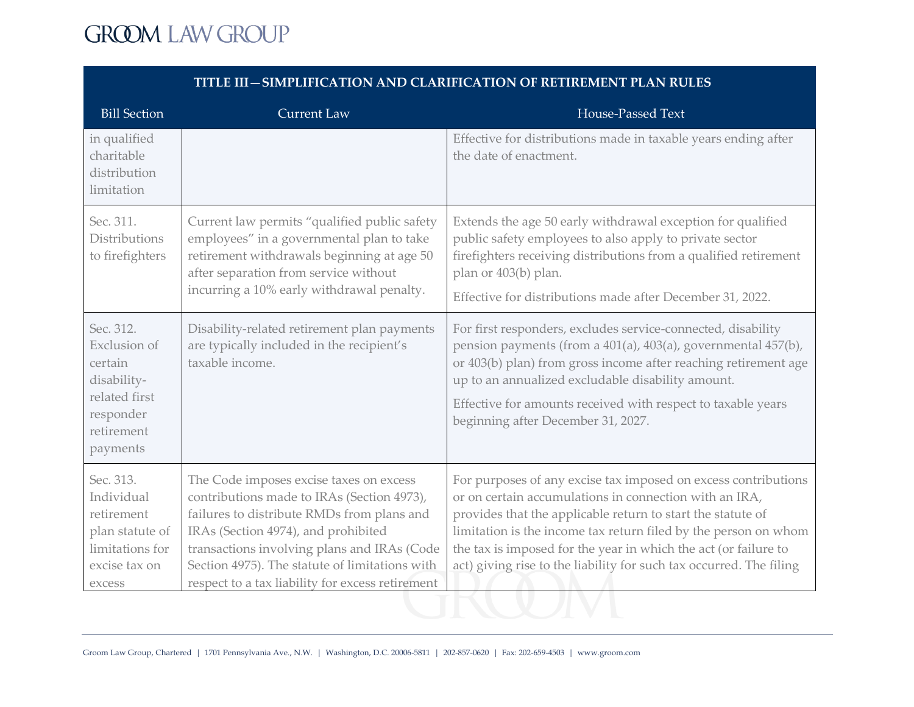| <b>Bill Section</b>                                                                                                | <b>Current Law</b>                                                                                                                                                                                                                                                                                                              | House-Passed Text                                                                                                                                                                                                                                                                                                                                                                                    |
|--------------------------------------------------------------------------------------------------------------------|---------------------------------------------------------------------------------------------------------------------------------------------------------------------------------------------------------------------------------------------------------------------------------------------------------------------------------|------------------------------------------------------------------------------------------------------------------------------------------------------------------------------------------------------------------------------------------------------------------------------------------------------------------------------------------------------------------------------------------------------|
| in qualified<br>charitable<br>distribution<br>limitation                                                           |                                                                                                                                                                                                                                                                                                                                 | Effective for distributions made in taxable years ending after<br>the date of enactment.                                                                                                                                                                                                                                                                                                             |
| Sec. 311.<br><b>Distributions</b><br>to firefighters                                                               | Current law permits "qualified public safety<br>employees" in a governmental plan to take<br>retirement withdrawals beginning at age 50<br>after separation from service without<br>incurring a 10% early withdrawal penalty.                                                                                                   | Extends the age 50 early withdrawal exception for qualified<br>public safety employees to also apply to private sector<br>firefighters receiving distributions from a qualified retirement<br>plan or 403(b) plan.<br>Effective for distributions made after December 31, 2022.                                                                                                                      |
| Sec. 312.<br><b>Exclusion</b> of<br>certain<br>disability-<br>related first<br>responder<br>retirement<br>payments | Disability-related retirement plan payments<br>are typically included in the recipient's<br>taxable income.                                                                                                                                                                                                                     | For first responders, excludes service-connected, disability<br>pension payments (from a 401(a), 403(a), governmental 457(b),<br>or 403(b) plan) from gross income after reaching retirement age<br>up to an annualized excludable disability amount.<br>Effective for amounts received with respect to taxable years<br>beginning after December 31, 2027.                                          |
| Sec. 313.<br>Individual<br>retirement<br>plan statute of<br>limitations for<br>excise tax on<br>excess             | The Code imposes excise taxes on excess<br>contributions made to IRAs (Section 4973),<br>failures to distribute RMDs from plans and<br>IRAs (Section 4974), and prohibited<br>transactions involving plans and IRAs (Code<br>Section 4975). The statute of limitations with<br>respect to a tax liability for excess retirement | For purposes of any excise tax imposed on excess contributions<br>or on certain accumulations in connection with an IRA,<br>provides that the applicable return to start the statute of<br>limitation is the income tax return filed by the person on whom<br>the tax is imposed for the year in which the act (or failure to<br>act) giving rise to the liability for such tax occurred. The filing |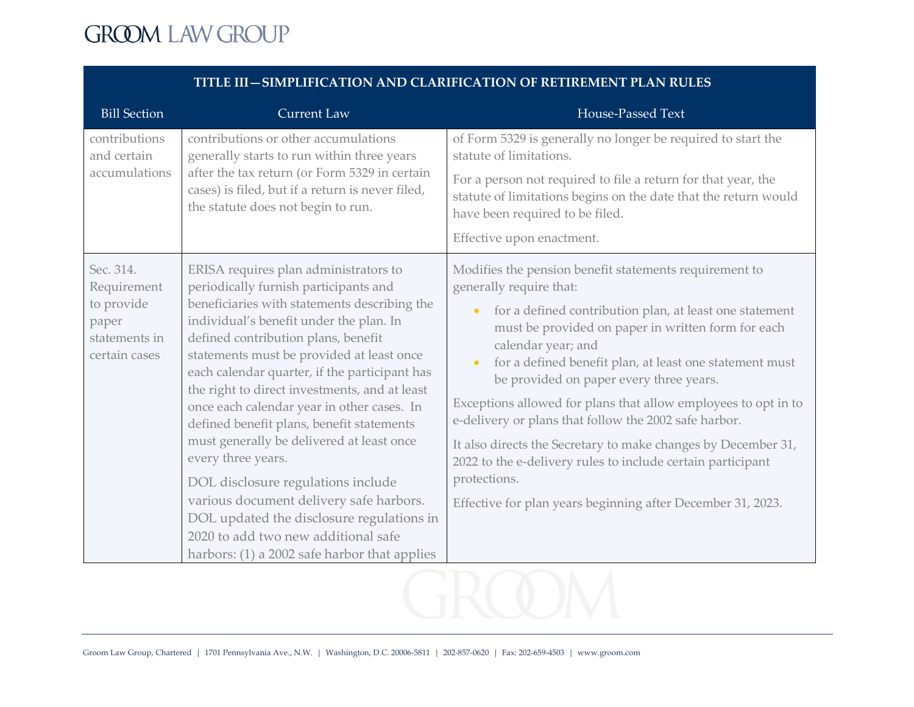| <b>Bill Section</b>                                             | <b>Current Law</b>                                                                                                                                                                                                                                                                                                                                                       | <b>House-Passed Text</b>                                                                                                                                                                                                                               |
|-----------------------------------------------------------------|--------------------------------------------------------------------------------------------------------------------------------------------------------------------------------------------------------------------------------------------------------------------------------------------------------------------------------------------------------------------------|--------------------------------------------------------------------------------------------------------------------------------------------------------------------------------------------------------------------------------------------------------|
| contributions<br>and certain                                    | contributions or other accumulations<br>generally starts to run within three years                                                                                                                                                                                                                                                                                       | of Form 5329 is generally no longer be required to start the<br>statute of limitations.                                                                                                                                                                |
| accumulations                                                   | after the tax return (or Form 5329 in certain<br>cases) is filed, but if a return is never filed,<br>the statute does not begin to run.                                                                                                                                                                                                                                  | For a person not required to file a return for that year, the<br>statute of limitations begins on the date that the return would<br>have been required to be filed.<br>Effective upon enactment.                                                       |
| Sec. 314.<br>Requirement                                        | ERISA requires plan administrators to<br>periodically furnish participants and                                                                                                                                                                                                                                                                                           | Modifies the pension benefit statements requirement to<br>generally require that:                                                                                                                                                                      |
| to provide<br>paper<br>statements in<br>certain cases           | beneficiaries with statements describing the<br>individual's benefit under the plan. In<br>defined contribution plans, benefit<br>statements must be provided at least once<br>each calendar quarter, if the participant has<br>the right to direct investments, and at least<br>once each calendar year in other cases. In<br>defined benefit plans, benefit statements | for a defined contribution plan, at least one statement<br>$\bullet$<br>must be provided on paper in written form for each<br>calendar year; and<br>for a defined benefit plan, at least one statement must<br>be provided on paper every three years. |
|                                                                 |                                                                                                                                                                                                                                                                                                                                                                          | Exceptions allowed for plans that allow employees to opt in to<br>e-delivery or plans that follow the 2002 safe harbor.                                                                                                                                |
| must generally be delivered at least once<br>every three years. | It also directs the Secretary to make changes by December 31,<br>2022 to the e-delivery rules to include certain participant                                                                                                                                                                                                                                             |                                                                                                                                                                                                                                                        |
|                                                                 | DOL disclosure regulations include                                                                                                                                                                                                                                                                                                                                       | protections.                                                                                                                                                                                                                                           |
|                                                                 | various document delivery safe harbors.                                                                                                                                                                                                                                                                                                                                  | Effective for plan years beginning after December 31, 2023.                                                                                                                                                                                            |
|                                                                 | DOL updated the disclosure regulations in                                                                                                                                                                                                                                                                                                                                |                                                                                                                                                                                                                                                        |
|                                                                 | 2020 to add two new additional safe                                                                                                                                                                                                                                                                                                                                      |                                                                                                                                                                                                                                                        |
|                                                                 | harbors: (1) a 2002 safe harbor that applies                                                                                                                                                                                                                                                                                                                             |                                                                                                                                                                                                                                                        |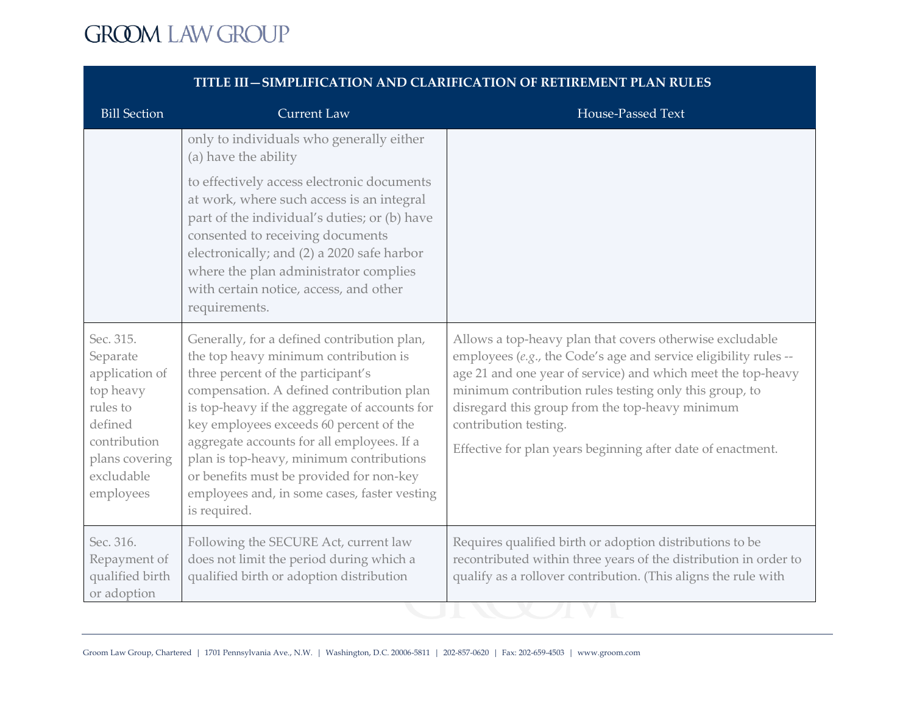| <b>Bill Section</b>                                                                                                                      | <b>Current Law</b>                                                                                                                                                                                                                                                                                                                                                                                                                                                        | House-Passed Text                                                                                                                                                                                                                                                                                                                                                                                 |
|------------------------------------------------------------------------------------------------------------------------------------------|---------------------------------------------------------------------------------------------------------------------------------------------------------------------------------------------------------------------------------------------------------------------------------------------------------------------------------------------------------------------------------------------------------------------------------------------------------------------------|---------------------------------------------------------------------------------------------------------------------------------------------------------------------------------------------------------------------------------------------------------------------------------------------------------------------------------------------------------------------------------------------------|
|                                                                                                                                          | only to individuals who generally either<br>(a) have the ability                                                                                                                                                                                                                                                                                                                                                                                                          |                                                                                                                                                                                                                                                                                                                                                                                                   |
|                                                                                                                                          | to effectively access electronic documents<br>at work, where such access is an integral<br>part of the individual's duties; or (b) have<br>consented to receiving documents<br>electronically; and (2) a 2020 safe harbor<br>where the plan administrator complies<br>with certain notice, access, and other<br>requirements.                                                                                                                                             |                                                                                                                                                                                                                                                                                                                                                                                                   |
| Sec. 315.<br>Separate<br>application of<br>top heavy<br>rules to<br>defined<br>contribution<br>plans covering<br>excludable<br>employees | Generally, for a defined contribution plan,<br>the top heavy minimum contribution is<br>three percent of the participant's<br>compensation. A defined contribution plan<br>is top-heavy if the aggregate of accounts for<br>key employees exceeds 60 percent of the<br>aggregate accounts for all employees. If a<br>plan is top-heavy, minimum contributions<br>or benefits must be provided for non-key<br>employees and, in some cases, faster vesting<br>is required. | Allows a top-heavy plan that covers otherwise excludable<br>employees (e.g., the Code's age and service eligibility rules --<br>age 21 and one year of service) and which meet the top-heavy<br>minimum contribution rules testing only this group, to<br>disregard this group from the top-heavy minimum<br>contribution testing.<br>Effective for plan years beginning after date of enactment. |
| Sec. 316.<br>Repayment of<br>qualified birth<br>or adoption                                                                              | Following the SECURE Act, current law<br>does not limit the period during which a<br>qualified birth or adoption distribution                                                                                                                                                                                                                                                                                                                                             | Requires qualified birth or adoption distributions to be<br>recontributed within three years of the distribution in order to<br>qualify as a rollover contribution. (This aligns the rule with                                                                                                                                                                                                    |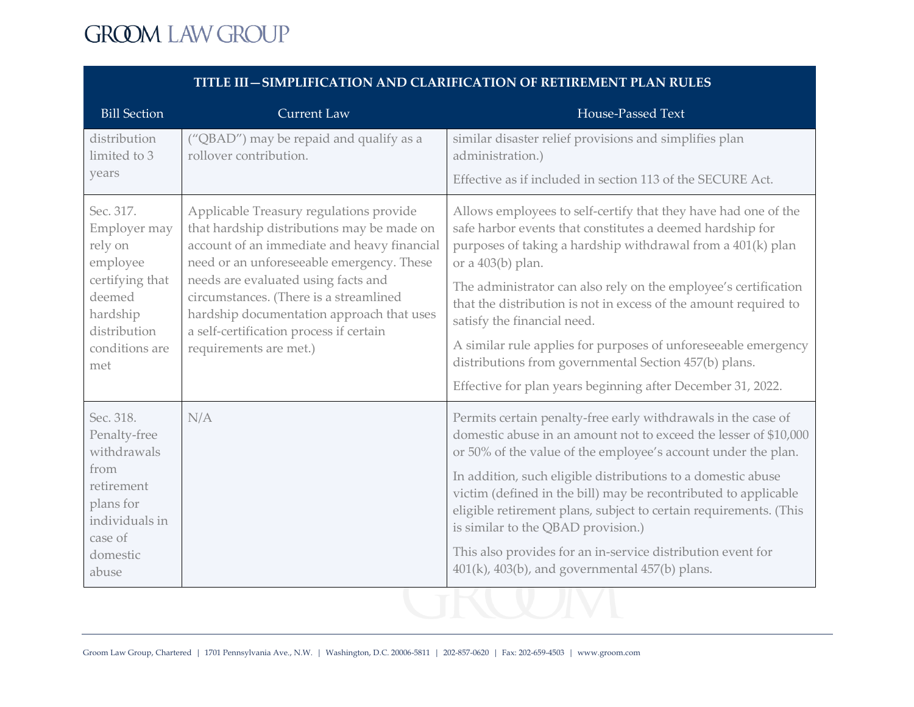| <b>Bill Section</b>                                                                                                                | <b>Current Law</b>                                                                                                                                                                                                                                                                                                                                                                   | House-Passed Text                                                                                                                                                                                                                                                                                                                                                                                                                                                                                                                                                                 |
|------------------------------------------------------------------------------------------------------------------------------------|--------------------------------------------------------------------------------------------------------------------------------------------------------------------------------------------------------------------------------------------------------------------------------------------------------------------------------------------------------------------------------------|-----------------------------------------------------------------------------------------------------------------------------------------------------------------------------------------------------------------------------------------------------------------------------------------------------------------------------------------------------------------------------------------------------------------------------------------------------------------------------------------------------------------------------------------------------------------------------------|
| distribution<br>limited to 3                                                                                                       | ("QBAD") may be repaid and qualify as a<br>rollover contribution.                                                                                                                                                                                                                                                                                                                    | similar disaster relief provisions and simplifies plan<br>administration.)                                                                                                                                                                                                                                                                                                                                                                                                                                                                                                        |
| years                                                                                                                              |                                                                                                                                                                                                                                                                                                                                                                                      | Effective as if included in section 113 of the SECURE Act.                                                                                                                                                                                                                                                                                                                                                                                                                                                                                                                        |
| Sec. 317.<br>Employer may<br>rely on<br>employee<br>certifying that<br>deemed<br>hardship<br>distribution<br>conditions are<br>met | Applicable Treasury regulations provide<br>that hardship distributions may be made on<br>account of an immediate and heavy financial<br>need or an unforeseeable emergency. These<br>needs are evaluated using facts and<br>circumstances. (There is a streamlined<br>hardship documentation approach that uses<br>a self-certification process if certain<br>requirements are met.) | Allows employees to self-certify that they have had one of the<br>safe harbor events that constitutes a deemed hardship for<br>purposes of taking a hardship withdrawal from a 401(k) plan<br>or a $403(b)$ plan.<br>The administrator can also rely on the employee's certification<br>that the distribution is not in excess of the amount required to<br>satisfy the financial need.<br>A similar rule applies for purposes of unforeseeable emergency<br>distributions from governmental Section 457(b) plans.<br>Effective for plan years beginning after December 31, 2022. |
| Sec. 318.<br>Penalty-free<br>withdrawals                                                                                           | N/A                                                                                                                                                                                                                                                                                                                                                                                  | Permits certain penalty-free early withdrawals in the case of<br>domestic abuse in an amount not to exceed the lesser of \$10,000<br>or 50% of the value of the employee's account under the plan.                                                                                                                                                                                                                                                                                                                                                                                |
| from<br>retirement<br>plans for<br>individuals in<br>case of                                                                       |                                                                                                                                                                                                                                                                                                                                                                                      | In addition, such eligible distributions to a domestic abuse<br>victim (defined in the bill) may be recontributed to applicable<br>eligible retirement plans, subject to certain requirements. (This<br>is similar to the QBAD provision.)                                                                                                                                                                                                                                                                                                                                        |
| domestic<br>abuse                                                                                                                  |                                                                                                                                                                                                                                                                                                                                                                                      | This also provides for an in-service distribution event for<br>401(k), 403(b), and governmental 457(b) plans.                                                                                                                                                                                                                                                                                                                                                                                                                                                                     |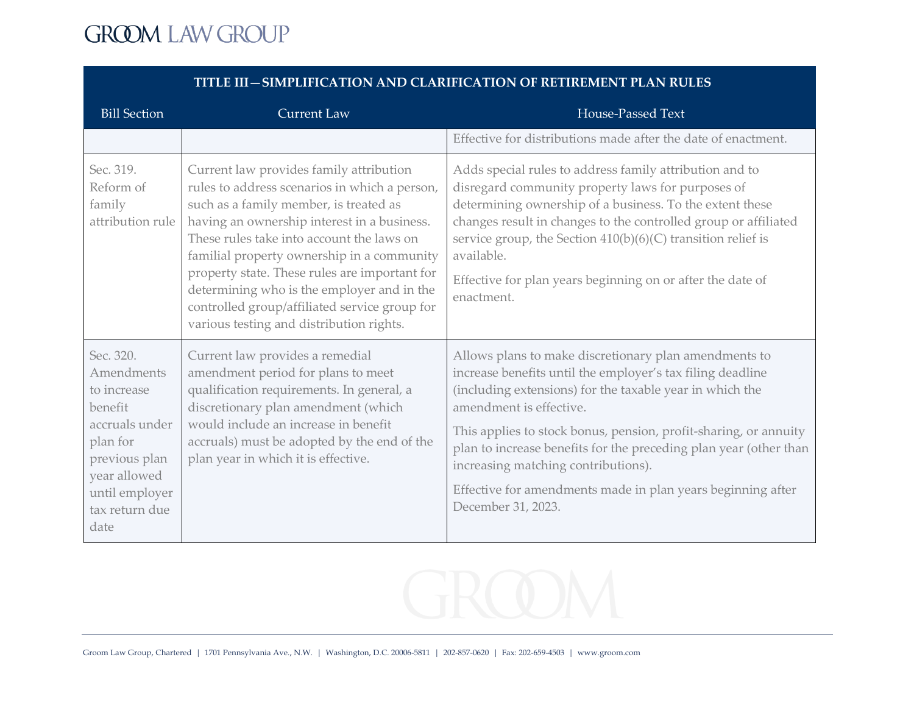| <b>Bill Section</b>                                                                                                                                          | <b>Current Law</b>                                                                                                                                                                                                                                                                                                                                                                                                                                                       | <b>House-Passed Text</b>                                                                                                                                                                                                                                                                                                                                                                                                                                                        |
|--------------------------------------------------------------------------------------------------------------------------------------------------------------|--------------------------------------------------------------------------------------------------------------------------------------------------------------------------------------------------------------------------------------------------------------------------------------------------------------------------------------------------------------------------------------------------------------------------------------------------------------------------|---------------------------------------------------------------------------------------------------------------------------------------------------------------------------------------------------------------------------------------------------------------------------------------------------------------------------------------------------------------------------------------------------------------------------------------------------------------------------------|
|                                                                                                                                                              |                                                                                                                                                                                                                                                                                                                                                                                                                                                                          | Effective for distributions made after the date of enactment.                                                                                                                                                                                                                                                                                                                                                                                                                   |
| Sec. 319.<br>Reform of<br>family<br>attribution rule                                                                                                         | Current law provides family attribution<br>rules to address scenarios in which a person,<br>such as a family member, is treated as<br>having an ownership interest in a business.<br>These rules take into account the laws on<br>familial property ownership in a community<br>property state. These rules are important for<br>determining who is the employer and in the<br>controlled group/affiliated service group for<br>various testing and distribution rights. | Adds special rules to address family attribution and to<br>disregard community property laws for purposes of<br>determining ownership of a business. To the extent these<br>changes result in changes to the controlled group or affiliated<br>service group, the Section $410(b)(6)(C)$ transition relief is<br>available.<br>Effective for plan years beginning on or after the date of<br>enactment.                                                                         |
| Sec. 320.<br>Amendments<br>to increase<br>benefit<br>accruals under<br>plan for<br>previous plan<br>year allowed<br>until employer<br>tax return due<br>date | Current law provides a remedial<br>amendment period for plans to meet<br>qualification requirements. In general, a<br>discretionary plan amendment (which<br>would include an increase in benefit<br>accruals) must be adopted by the end of the<br>plan year in which it is effective.                                                                                                                                                                                  | Allows plans to make discretionary plan amendments to<br>increase benefits until the employer's tax filing deadline<br>(including extensions) for the taxable year in which the<br>amendment is effective.<br>This applies to stock bonus, pension, profit-sharing, or annuity<br>plan to increase benefits for the preceding plan year (other than<br>increasing matching contributions).<br>Effective for amendments made in plan years beginning after<br>December 31, 2023. |

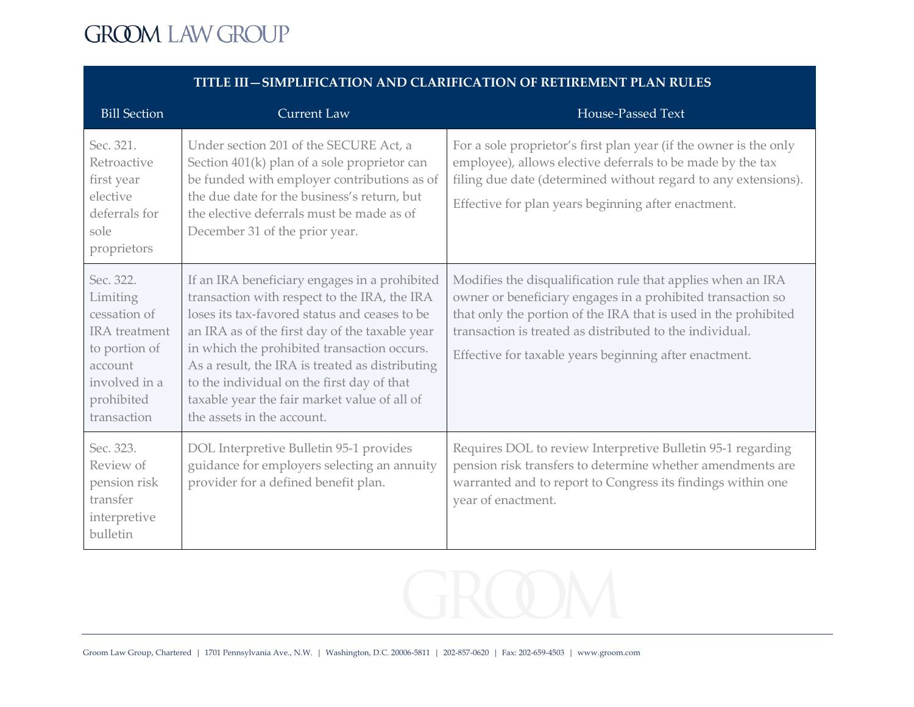| <b>Bill Section</b>                                                                                                                     | <b>Current Law</b>                                                                                                                                                                                                                                                                                                                                                                                                             | House-Passed Text                                                                                                                                                                                                                                                                                                   |
|-----------------------------------------------------------------------------------------------------------------------------------------|--------------------------------------------------------------------------------------------------------------------------------------------------------------------------------------------------------------------------------------------------------------------------------------------------------------------------------------------------------------------------------------------------------------------------------|---------------------------------------------------------------------------------------------------------------------------------------------------------------------------------------------------------------------------------------------------------------------------------------------------------------------|
| Sec. 321.<br>Retroactive<br>first year<br>elective<br>deferrals for<br>sole<br>proprietors                                              | Under section 201 of the SECURE Act, a<br>Section 401(k) plan of a sole proprietor can<br>be funded with employer contributions as of<br>the due date for the business's return, but<br>the elective deferrals must be made as of<br>December 31 of the prior year.                                                                                                                                                            | For a sole proprietor's first plan year (if the owner is the only<br>employee), allows elective deferrals to be made by the tax<br>filing due date (determined without regard to any extensions).<br>Effective for plan years beginning after enactment.                                                            |
| Sec. 322.<br>Limiting<br>cessation of<br><b>IRA</b> treatment<br>to portion of<br>account<br>involved in a<br>prohibited<br>transaction | If an IRA beneficiary engages in a prohibited<br>transaction with respect to the IRA, the IRA<br>loses its tax-favored status and ceases to be<br>an IRA as of the first day of the taxable year<br>in which the prohibited transaction occurs.<br>As a result, the IRA is treated as distributing<br>to the individual on the first day of that<br>taxable year the fair market value of all of<br>the assets in the account. | Modifies the disqualification rule that applies when an IRA<br>owner or beneficiary engages in a prohibited transaction so<br>that only the portion of the IRA that is used in the prohibited<br>transaction is treated as distributed to the individual.<br>Effective for taxable years beginning after enactment. |
| Sec. 323.<br>Review of<br>pension risk<br>transfer<br>interpretive<br>bulletin                                                          | DOL Interpretive Bulletin 95-1 provides<br>guidance for employers selecting an annuity<br>provider for a defined benefit plan.                                                                                                                                                                                                                                                                                                 | Requires DOL to review Interpretive Bulletin 95-1 regarding<br>pension risk transfers to determine whether amendments are<br>warranted and to report to Congress its findings within one<br>year of enactment.                                                                                                      |



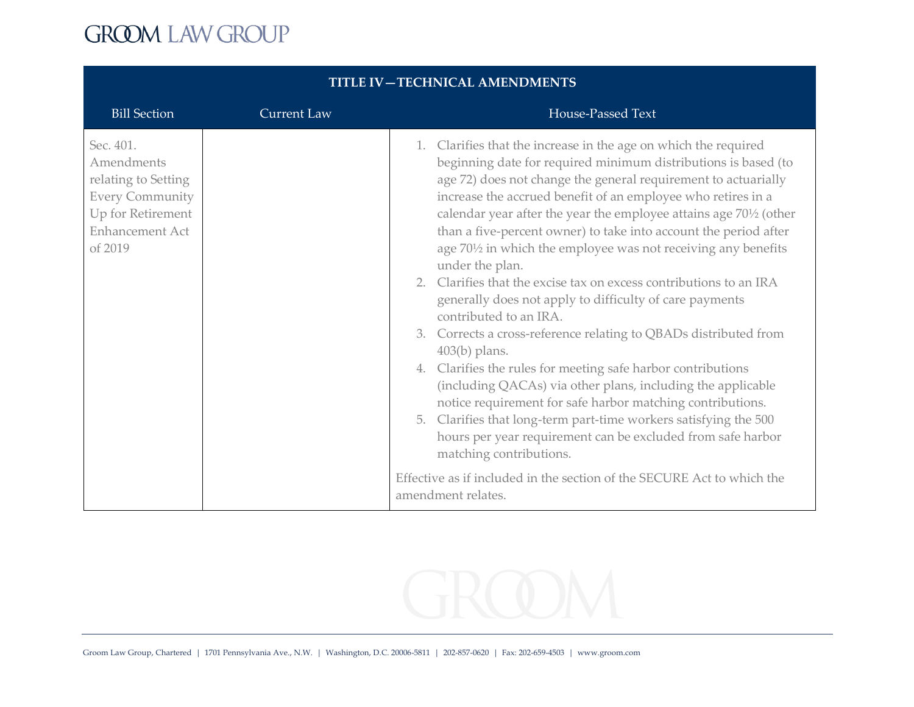| <b>Bill Section</b>                                                                                                         | <b>Current Law</b> | House-Passed Text                                                                                                                                                                                                                                                                                                                                                                                                                                                                                                                                                                                                                                                                                                                                                                                                                                                                                                                                                                                                                                                                                                            |
|-----------------------------------------------------------------------------------------------------------------------------|--------------------|------------------------------------------------------------------------------------------------------------------------------------------------------------------------------------------------------------------------------------------------------------------------------------------------------------------------------------------------------------------------------------------------------------------------------------------------------------------------------------------------------------------------------------------------------------------------------------------------------------------------------------------------------------------------------------------------------------------------------------------------------------------------------------------------------------------------------------------------------------------------------------------------------------------------------------------------------------------------------------------------------------------------------------------------------------------------------------------------------------------------------|
| Sec. 401.<br>Amendments<br>relating to Setting<br><b>Every Community</b><br>Up for Retirement<br>Enhancement Act<br>of 2019 |                    | 1. Clarifies that the increase in the age on which the required<br>beginning date for required minimum distributions is based (to<br>age 72) does not change the general requirement to actuarially<br>increase the accrued benefit of an employee who retires in a<br>calendar year after the year the employee attains age 70 <sup>1</sup> /2 (other<br>than a five-percent owner) to take into account the period after<br>age 701/2 in which the employee was not receiving any benefits<br>under the plan.<br>2. Clarifies that the excise tax on excess contributions to an IRA<br>generally does not apply to difficulty of care payments<br>contributed to an IRA.<br>3. Corrects a cross-reference relating to QBADs distributed from<br>$403(b)$ plans.<br>4. Clarifies the rules for meeting safe harbor contributions<br>(including QACAs) via other plans, including the applicable<br>notice requirement for safe harbor matching contributions.<br>5. Clarifies that long-term part-time workers satisfying the 500<br>hours per year requirement can be excluded from safe harbor<br>matching contributions. |
|                                                                                                                             |                    | Effective as if included in the section of the SECURE Act to which the<br>amendment relates.                                                                                                                                                                                                                                                                                                                                                                                                                                                                                                                                                                                                                                                                                                                                                                                                                                                                                                                                                                                                                                 |

#### **TITLE IV—TECHNICAL AMENDMENTS**

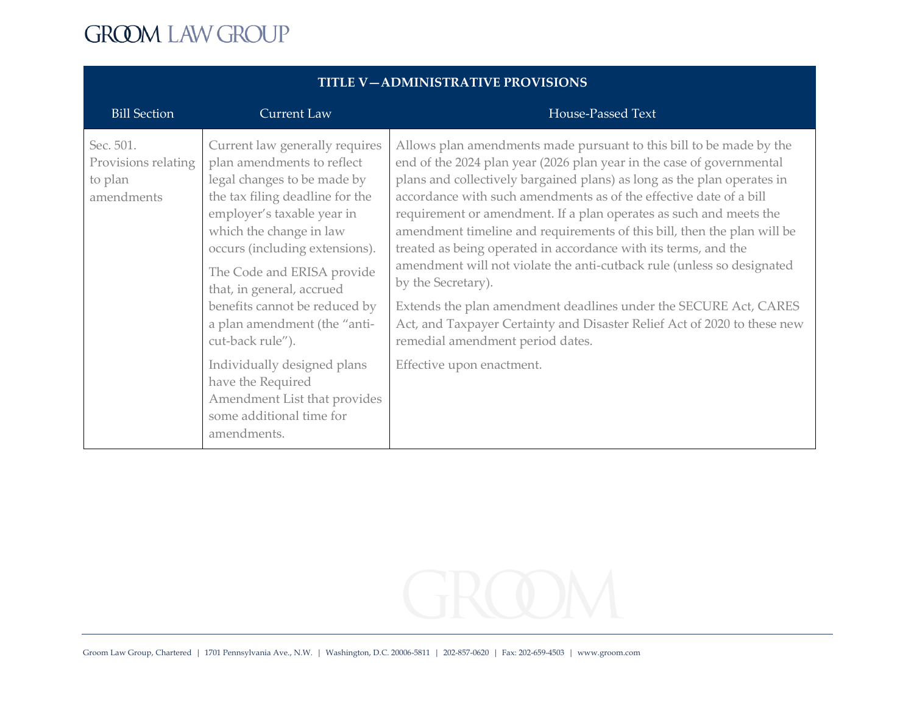| <b>Bill Section</b>                                       | <b>Current Law</b>                                                                                                                                                                                                                                                                                                                                                                                                                                                                                       | House-Passed Text                                                                                                                                                                                                                                                                                                                                                                                                                                                                                                                                                                                                                                                                                                                                                                                                                  |
|-----------------------------------------------------------|----------------------------------------------------------------------------------------------------------------------------------------------------------------------------------------------------------------------------------------------------------------------------------------------------------------------------------------------------------------------------------------------------------------------------------------------------------------------------------------------------------|------------------------------------------------------------------------------------------------------------------------------------------------------------------------------------------------------------------------------------------------------------------------------------------------------------------------------------------------------------------------------------------------------------------------------------------------------------------------------------------------------------------------------------------------------------------------------------------------------------------------------------------------------------------------------------------------------------------------------------------------------------------------------------------------------------------------------------|
| Sec. 501.<br>Provisions relating<br>to plan<br>amendments | Current law generally requires<br>plan amendments to reflect<br>legal changes to be made by<br>the tax filing deadline for the<br>employer's taxable year in<br>which the change in law<br>occurs (including extensions).<br>The Code and ERISA provide<br>that, in general, accrued<br>benefits cannot be reduced by<br>a plan amendment (the "anti-<br>cut-back rule").<br>Individually designed plans<br>have the Required<br>Amendment List that provides<br>some additional time for<br>amendments. | Allows plan amendments made pursuant to this bill to be made by the<br>end of the 2024 plan year (2026 plan year in the case of governmental<br>plans and collectively bargained plans) as long as the plan operates in<br>accordance with such amendments as of the effective date of a bill<br>requirement or amendment. If a plan operates as such and meets the<br>amendment timeline and requirements of this bill, then the plan will be<br>treated as being operated in accordance with its terms, and the<br>amendment will not violate the anti-cutback rule (unless so designated<br>by the Secretary).<br>Extends the plan amendment deadlines under the SECURE Act, CARES<br>Act, and Taxpayer Certainty and Disaster Relief Act of 2020 to these new<br>remedial amendment period dates.<br>Effective upon enactment. |

#### **TITLE V—ADMINISTRATIVE PROVISIONS**

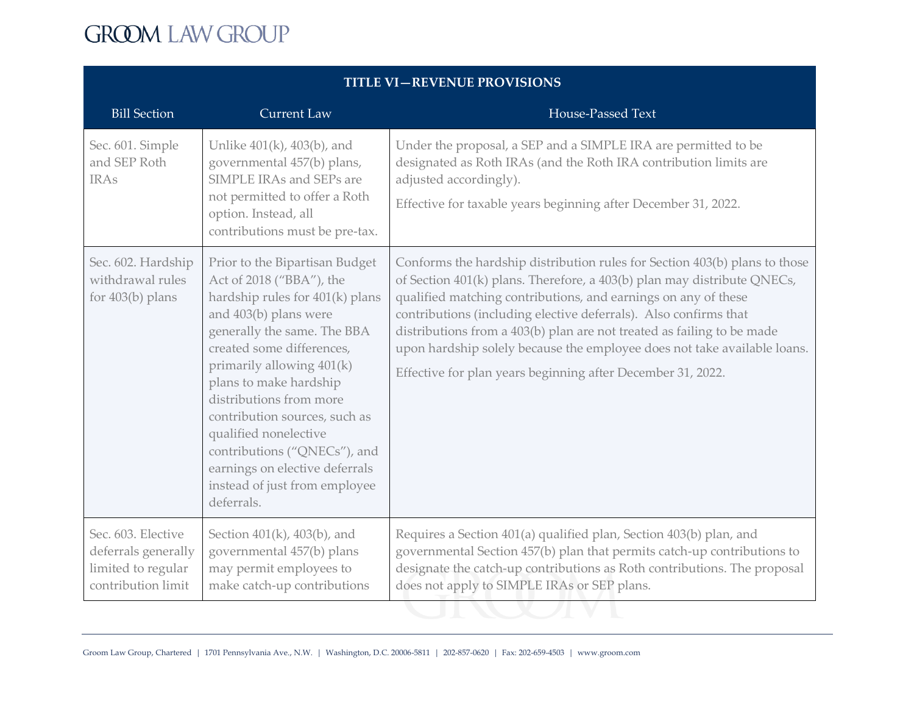| <b>Bill Section</b><br>Sec. 601. Simple                                               | <b>Current Law</b><br>Unlike $401(k)$ , $403(b)$ , and                                                                                                                                                                                                                                                                                                                                                                            | House-Passed Text                                                                                                                                                                                                                                                                                                                                                                                                                                                                                                |
|---------------------------------------------------------------------------------------|-----------------------------------------------------------------------------------------------------------------------------------------------------------------------------------------------------------------------------------------------------------------------------------------------------------------------------------------------------------------------------------------------------------------------------------|------------------------------------------------------------------------------------------------------------------------------------------------------------------------------------------------------------------------------------------------------------------------------------------------------------------------------------------------------------------------------------------------------------------------------------------------------------------------------------------------------------------|
|                                                                                       |                                                                                                                                                                                                                                                                                                                                                                                                                                   |                                                                                                                                                                                                                                                                                                                                                                                                                                                                                                                  |
| and SEP Roth<br><b>IRAs</b>                                                           | governmental 457(b) plans,<br>SIMPLE IRAs and SEPs are<br>not permitted to offer a Roth<br>option. Instead, all<br>contributions must be pre-tax.                                                                                                                                                                                                                                                                                 | Under the proposal, a SEP and a SIMPLE IRA are permitted to be<br>designated as Roth IRAs (and the Roth IRA contribution limits are<br>adjusted accordingly).<br>Effective for taxable years beginning after December 31, 2022.                                                                                                                                                                                                                                                                                  |
| Sec. 602. Hardship<br>withdrawal rules<br>for 403(b) plans<br>deferrals.              | Prior to the Bipartisan Budget<br>Act of 2018 ("BBA"), the<br>hardship rules for 401(k) plans<br>and 403(b) plans were<br>generally the same. The BBA<br>created some differences,<br>primarily allowing 401(k)<br>plans to make hardship<br>distributions from more<br>contribution sources, such as<br>qualified nonelective<br>contributions ("QNECs"), and<br>earnings on elective deferrals<br>instead of just from employee | Conforms the hardship distribution rules for Section 403(b) plans to those<br>of Section 401(k) plans. Therefore, a 403(b) plan may distribute QNECs,<br>qualified matching contributions, and earnings on any of these<br>contributions (including elective deferrals). Also confirms that<br>distributions from a 403(b) plan are not treated as failing to be made<br>upon hardship solely because the employee does not take available loans.<br>Effective for plan years beginning after December 31, 2022. |
| Sec. 603. Elective<br>deferrals generally<br>limited to regular<br>contribution limit | Section 401(k), 403(b), and<br>governmental 457(b) plans<br>may permit employees to<br>make catch-up contributions                                                                                                                                                                                                                                                                                                                | Requires a Section 401(a) qualified plan, Section 403(b) plan, and<br>governmental Section 457(b) plan that permits catch-up contributions to<br>designate the catch-up contributions as Roth contributions. The proposal<br>does not apply to SIMPLE IRAs or SEP plans.                                                                                                                                                                                                                                         |